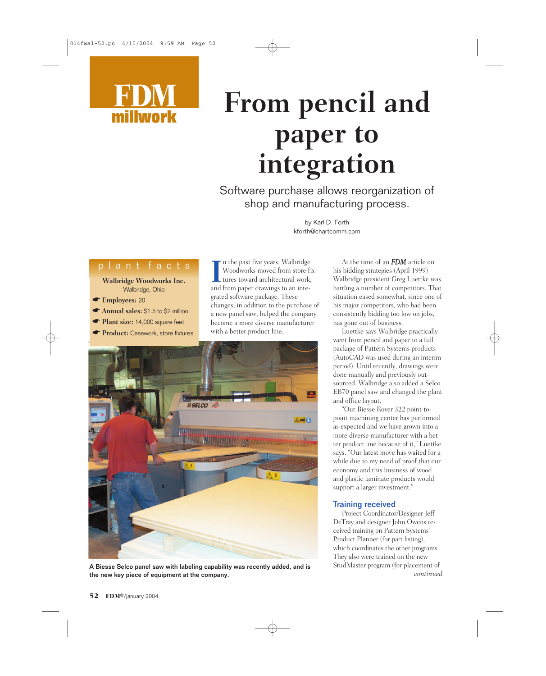

# **From pencil and paper to integration**

Software purchase allows reorganization of shop and manufacturing process.

> by Karl D. Forth kforth@chartcomm.com

### p l a n t f a c t s

**Walbridge Woodworks Inc.** Walbridge, Ohio

- ☛ **Employees:** <sup>20</sup>
- ☛ **Annual sales:** \$1.5 to \$2 million
- ☛ **Plant size:** 14,000 square feet
- ☛ **Product:** Casework, store fixtures

**I** In the past five years, Walbridge Woodworks moved from store f tures toward architectural work and from paper drawings to an inten the past five years, Walbridge Woodworks moved from store fixtures toward architectural work, grated software package. These changes, in addition to the purchase of a new panel saw, helped the company become a more diverse manufacturer with a better product line.



A Biesse Selco panel saw with labeling capability was recently added, and is the new key piece of equipment at the company. *continued*

At the time of an *FDM* article on his bidding strategies (April 1999) Walbridge president Greg Luettke was battling a number of competitors. That situation eased somewhat, since one of his major competitors, who had been consistently bidding too low on jobs, has gone out of business.

Luettke says Walbridge practically went from pencil and paper to a full package of Pattern Systems products (AutoCAD was used during an interim period). Until recently, drawings were done manually and previously outsourced. Walbridge also added a Selco EB70 panel saw and changed the plant and office layout.

"Our Biesse Rover 322 point-topoint machining center has performed as expected and we have grown into a more diverse manufacturer with a better product line because of it," Luettke says. "Our latest move has waited for a while due to my need of proof that our economy and this business of wood and plastic laminate products would support a larger investment."

#### Training received

Project Coordinator/Designer Jeff DeTray and designer John Owens received training on Pattern Systems' Product Planner (for part listing), which coordinates the other programs. They also were trained on the new StudMaster program (for placement of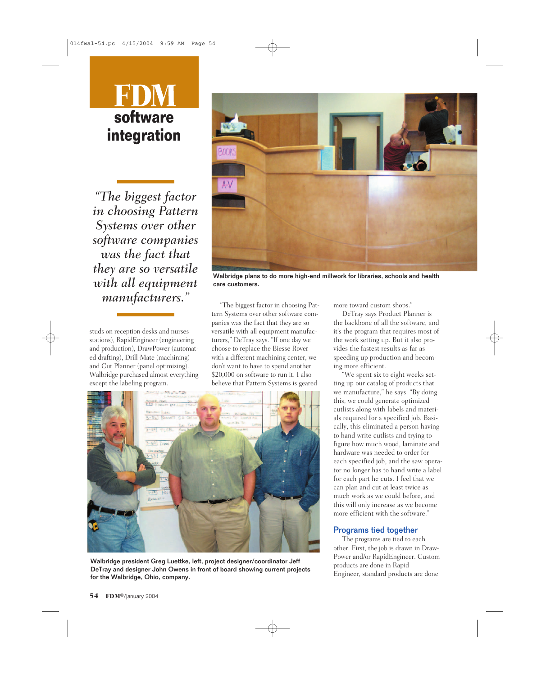## **software integration**

*"The biggest factor in choosing Pattern Systems over other software companies was the fact that they are so versatile with all equipment manufacturers."*

studs on reception desks and nurses stations), RapidEngineer (engineering and production), DrawPower (automated drafting), Drill-Mate (machining) and Cut Planner (panel optimizing). Walbridge purchased almost everything except the labeling program.



Walbridge plans to do more high-end millwork for libraries, schools and health care customers.

"The biggest factor in choosing Pattern Systems over other software companies was the fact that they are so versatile with all equipment manufacturers," DeTray says. "If one day we choose to replace the Biesse Rover with a different machining center, we don't want to have to spend another \$20,000 on software to run it. I also believe that Pattern Systems is geared



Walbridge president Greg Luettke, left, project designer/coordinator Jeff DeTray and designer John Owens in front of board showing current projects for the Walbridge, Ohio, company.

more toward custom shops."

DeTray says Product Planner is the backbone of all the software, and it's the program that requires most of the work setting up. But it also provides the fastest results as far as speeding up production and becoming more efficient.

"We spent six to eight weeks setting up our catalog of products that we manufacture," he says. "By doing this, we could generate optimized cutlists along with labels and materials required for a specified job. Basically, this eliminated a person having to hand write cutlists and trying to figure how much wood, laminate and hardware was needed to order for each specified job, and the saw operator no longer has to hand write a label for each part he cuts. I feel that we can plan and cut at least twice as much work as we could before, and this will only increase as we become more efficient with the software."

#### Programs tied together

The programs are tied to each other. First, the job is drawn in Draw-Power and/or RapidEngineer. Custom products are done in Rapid Engineer, standard products are done